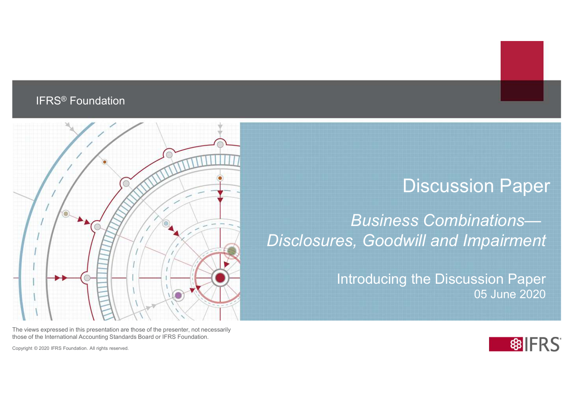#### IFRS® Foundation



The views expressed in this presentation are those of the presenter, not necessarily those of the International Accounting Standards Board or IFRS Foundation.

Copyright © 2020 IFRS Foundation. All rights reserved.

#### Discussion Paper

Business Combinations— Disclosures, Goodwill and Impairment

> Introducing the Discussion Paper 05 June 2020

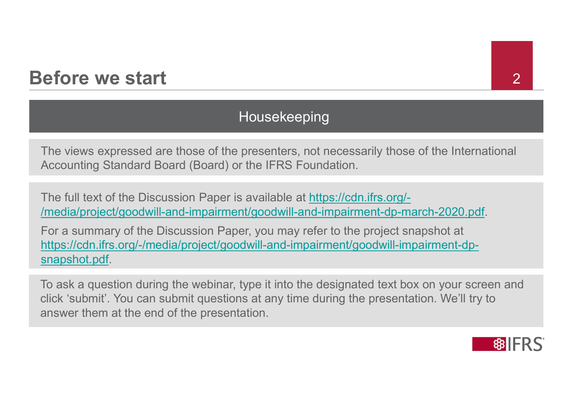### Before we start 22

#### Housekeeping

The views expressed are those of the presenters, not necessarily those of the International Accounting Standard Board (Board) or the IFRS Foundation.

The full text of the Discussion Paper is available at https://cdn.ifrs.org/- /media/project/goodwill-and-impairment/goodwill-and-impairment-dp-march-2020.pdf.

For a summary of the Discussion Paper, you may refer to the project snapshot at https://cdn.ifrs.org/-/media/project/goodwill-and-impairment/goodwill-impairment-dpsnapshot.pdf.

To ask a question during the webinar, type it into the designated text box on your screen and click 'submit'. You can submit questions at any time during the presentation. We'll try to answer them at the end of the presentation.

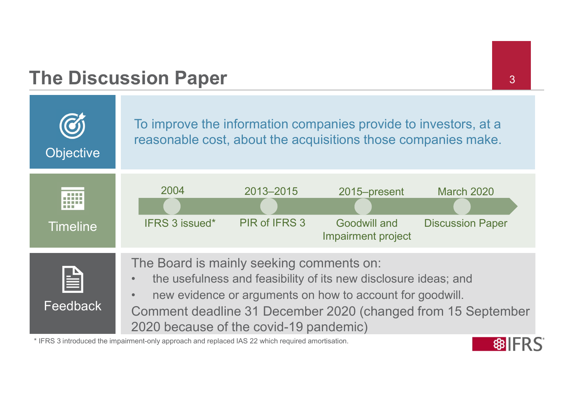# The Discussion Paper 3



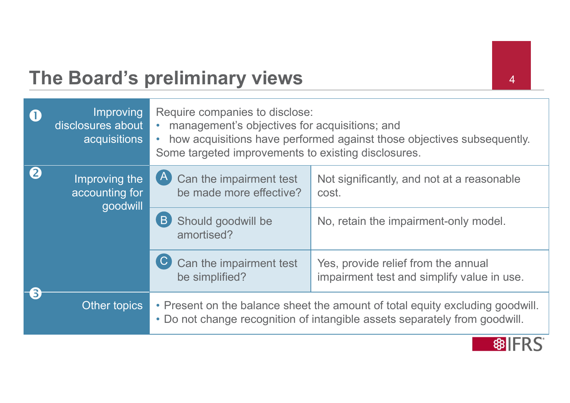# The Board's preliminary views 44

| $\mathbf 0$ | Improving<br>disclosures about<br>acquisitions | Require companies to disclose:<br>management's objectives for acquisitions; and<br>Some targeted improvements to existing disclosures. | how acquisitions have performed against those objectives subsequently.                                                                                      |
|-------------|------------------------------------------------|----------------------------------------------------------------------------------------------------------------------------------------|-------------------------------------------------------------------------------------------------------------------------------------------------------------|
| 2           | Improving the<br>accounting for<br>goodwill    | $\vert A \vert$<br>Can the impairment test<br>be made more effective?                                                                  | Not significantly, and not at a reasonable<br>cost.                                                                                                         |
|             |                                                | B<br>Should goodwill be<br>amortised?                                                                                                  | No, retain the impairment-only model.                                                                                                                       |
|             |                                                | Can the impairment test<br>be simplified?                                                                                              | Yes, provide relief from the annual<br>impairment test and simplify value in use.                                                                           |
| 6           | Other topics                                   |                                                                                                                                        | • Present on the balance sheet the amount of total equity excluding goodwill.<br>• Do not change recognition of intangible assets separately from goodwill. |

**88IFRS**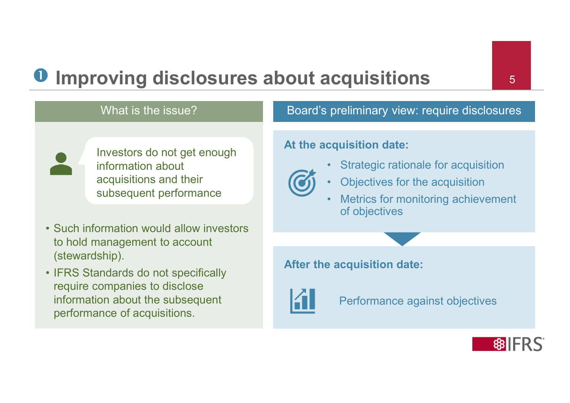# **O** Improving disclosures about acquisitions **1996** • Such information would allow investors<br>
to not get enough<br>
the information about<br>
subsequent performance<br>
• Such information would allow investors<br>
to hold management to account<br>
(stewardship).<br>
• IFRS Standards do not s

# What is the issue? • What is the issue?<br>
• Investors do not get enough<br>
information about<br>
• acquisitions and their<br>
• Such information would allow investors<br>
• Such information would allow investors<br>
• IFRS Standards do not specifically<br>
•

information about

to hold management to account

require companies to disclose

performance of acquisitions.

information about the subsequent

(stewardship).

acquisitions and their

Investors do not get enough

Board's preliminary view: require disclosures

#### At the acquisition date:



- 
- 
- subsequent performance with the extraction of the extraction of the extraction of the extraction of the extraction of the extraction of the extraction of the extraction of the extraction of the extraction of the extraction **Caulisitions**<br> **Example 18 To 18 To 18 To 18 To 18 To 18 To 18 To 18 To 18 To 18 To 18 To 18 To 18 To 18 To 18 To 18 To 18 To 18 To 18 To 18 To 18 To 18 To 18 To 18 To 18 To 18 To 18 To 18 To 18 To 18 To 18 To 18 To 18 To Carry 1997**<br>
For the acquisition of the acquisition date:<br>
• Strategic rationale for acquisition<br>
• Objectives for the acquisition<br>
• Metrics for monitoring achievement<br>
of objectives **Carry Control Control Control Control Control Control Control Control Control Control Control Control Control Control Control Control Control Control Control Control Control Control Control Control Control Control Control** of objectives

#### After the acquisition date:



Performance against objectives

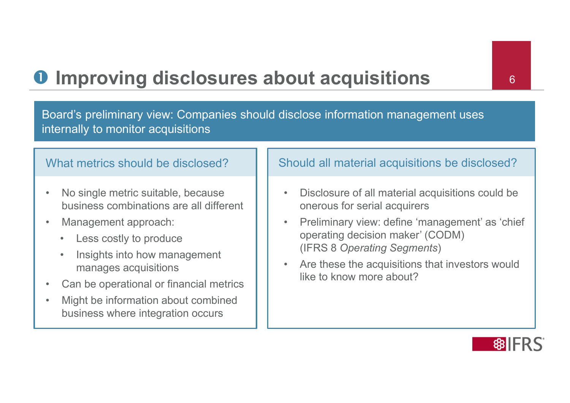# **O** Improving disclosures about acquisitions **1.** 6

• Management approach:<br>
Management approach:<br>
Mo single metric suitable, because<br>
• Management approach:<br>
• Management approach:<br>
• Management approach: • Improving disclosures ab<br>
Moard's preliminary view: Companies should denternally to monitor acquisitions<br>
What metrics should be disclosed?<br>
• No single metric suitable, because<br>
business combinations are all different<br> mand is closures about and is preliminary view: Companies should discribed and the monitor acquisitions<br>and metrics should be disclosed?<br>No single metric suitable, because<br>business combinations are all different<br>Management **Example 19 Consults 20 ADO**<br>
Internally to monitor acquisitions<br>
and metrics should be disclosed?<br>
No single metric suitable, because<br>
business combinations are all different<br>
Management approach:<br>
Less costly to produce<br> Frame Soard's preliminary view: Companies should disclose inform and the metric of the disclosed?<br>
• No single metric suitable, because<br>
business combinations are all different<br>
• Management approach:<br>
• Less costly to pro Board's preliminary view: Companies should disclose information management uses internally to monitor acquisitions

#### What metrics should be disclosed?

- business combinations are all different
- -
	- manages acquisitions **that is a structure of the structure of the structure of the structure of the structure of the structure of the structure of the structure of the structure of the structure of the structure of the str**
- 
- mericulary to monitor acquisitions<br>
What metrics should be disclosed?<br>
 No single metric suitable, because<br>
business combinations are all different<br>
 Management approach:<br>
 Less costly to produce<br>
 Insights into how ma business where integration occurs

#### Should all material acquisitions be disclosed?

- **France Court acquisitions**<br>Fisclose information management uses<br>Should all material acquisitions be disclosed?<br>• Disclosure of all material acquisitions could be<br>• Preliminary view: define 'management' as 'chief<br>• Operati onerous for serial acquirers
- **Follow Solutions 19 Conciled Solutions**<br>
Fisclose information management uses<br>
Should all material acquisitions be disclosed?<br>
 Disclosure of all material acquisitions could be<br>
onerous for serial acquirers<br>
 Preliminar operating decision maker' (CODM) (IFRS 8 Operating Segments) Fisclose information management uses<br>
Should all material acquisitions be disclosed?<br>
• Disclosure of all material acquisitions could be<br>
onerous for serial acquirers<br>
• Preliminary view: define 'management' as 'chief<br>
ope
- like to know more about?

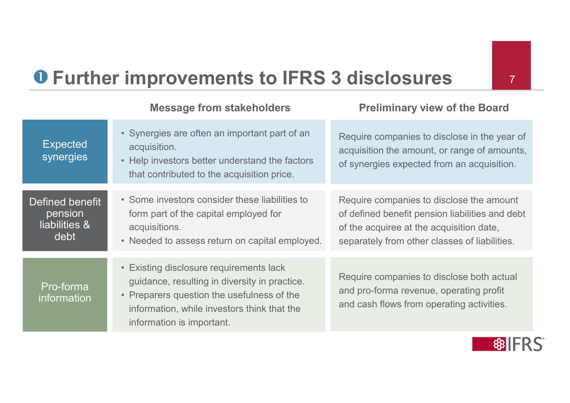# **O** Further improvements to IFRS 3 disclosures

Expected synergies • Help investors better understand the factors Defined benefit • Some investors consider these liabilities to pension liabilities & debt • Needed to assess return on capital employed. Pro-forma information • Preparers question the usefulness of the improvements to IFRS 3 dis<br>
Message from stakeholders<br>
• Synergies are often an important part of an<br>
• Help investors better understand the factors<br>
that contributed to the acquisition price. acquisition. improvements to IFRS 3 dis<br>
Message from stakeholders<br>
• Synergies are often an important part of an<br>
• Help investors better understand the factors<br>
• Help investors better understand the factors<br>
• Some investors conside that contributed to the acquisition price. Require companies to disclose in the year of acquisition the amount, or range of amounts, of synergies expected from an acquisition. many of the against to the sense of the age of the sense of the sense of the sense of the sequistion.<br>
• Synergies are often an important part of an<br>
• Help investors better understand the factors<br>
• Some investors conside form part of the capital employed for acquisitions. main interest to IFRS 3 disc<br>
Message from stakeholders Preli<br>
• Synergies are often an important part of an<br>
• Help investors better understand the factors acquisition<br>
• Help investors better understand the factors of sy Require companies to disclose the amount of defined benefit pension liabilities and debt of the acquiree at the acquisition date, separately from other classes of liabilities. Message from stakeholders<br>
• Synergies are often an important part of an<br>
acquisition.<br>
• Help investors better understand the factors<br>
• for the contributed to the acquisition price.<br>
• Some investors consider these liabi guidance, resulting in diversity in practice. • Synergies are often an important part of an<br>
• Help investors better understand the factors<br>
• Some investors better understand the factors<br>
• Some investors consider these liabilities to<br>
• Frequences of the capital emp information, while investors think that the Require companies to disclose both actual and pro-forma revenue, operating profit and cash flows from operating activities.

information is important.

Message from stakeholders **Preliminary view of the Board** 

7

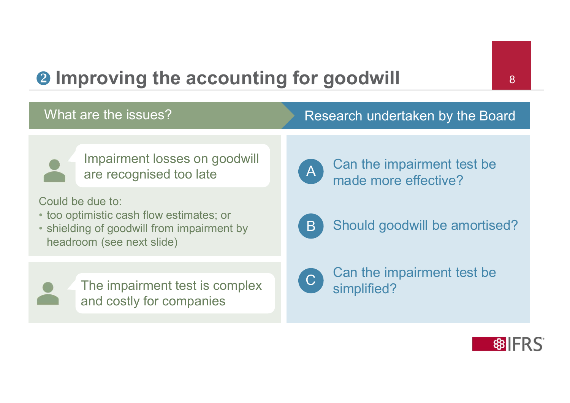# **2** Improving the accounting for goodwill 8

#### What are the issues? The Research undertaken by the Board



Impairment losses on goodwill<br>are recognised too late are recognised too late

Could be due to:

- too optimistic cash flow estimates; or
- shielding of goodwill from impairment by headroom (see next slide)



The impairment test is complex and costly for companies



Can the impairment test be made more effective?  $A$   $)$  can the impairment



B Should goodwill be amortised?



Can the impairment test be simplified?

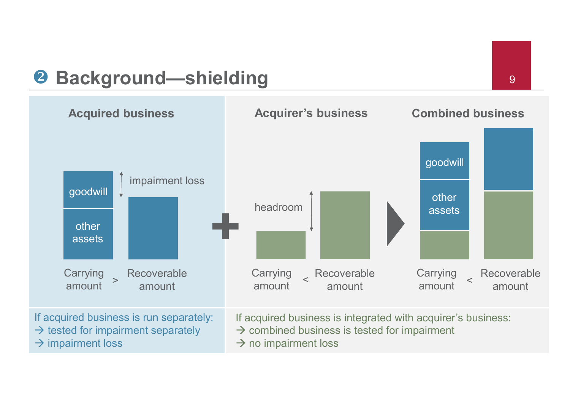# Background—shielding <sup>9</sup>

 $\rightarrow$  impairment loss



- $\rightarrow$  combined business is tested for impairment
- $\rightarrow$  no impairment loss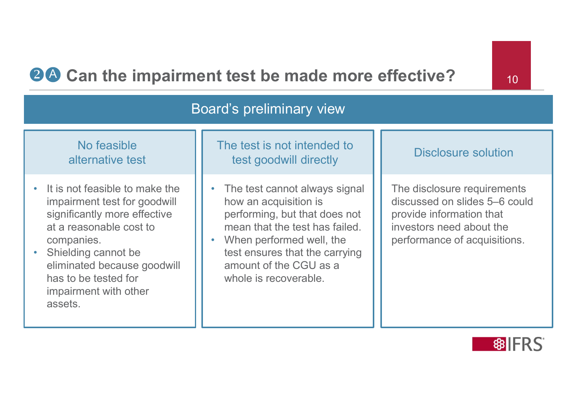#### **24 Can the impairment test be made more effective?** 10

#### Board's preliminary view

#### No feasible alternative test

- It is not feasible to make the impairment test for goodwill significantly more effective at a reasonable cost to companies.
- Shielding cannot be eliminated because goodwill has to be tested for impairment with other assets.
- The test cannot always signal how an acquisition is performing, but that does not mean that the test has failed

test goodwill directly

• When performed well, the test ensures that the carrying amount of the CGU as a whole is recoverable.

#### Disclosure solution The test is not intended to

The disclosure requirements discussed on slides 5–6 could provide information that investors need about the performance of acquisitions.

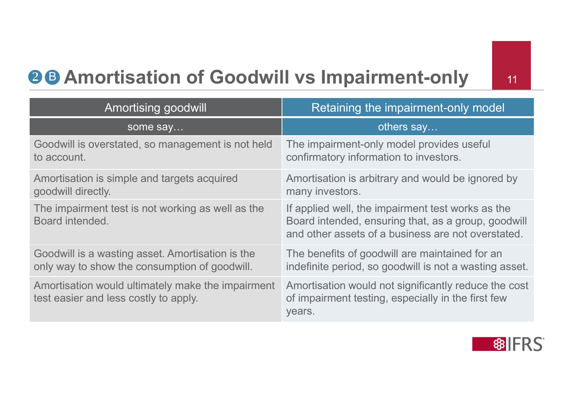# **88 Amortisation of Goodwill vs Impairment-only** 11

| <b>26 Amortisation of Goodwill vs Impairment-only</b><br>11                                       |                                                                                                                                                                |  |  |  |
|---------------------------------------------------------------------------------------------------|----------------------------------------------------------------------------------------------------------------------------------------------------------------|--|--|--|
| Amortising goodwill                                                                               | Retaining the impairment-only model                                                                                                                            |  |  |  |
| some say                                                                                          | others say                                                                                                                                                     |  |  |  |
| Goodwill is overstated, so management is not held<br>to account.                                  | The impairment-only model provides useful<br>confirmatory information to investors.                                                                            |  |  |  |
| Amortisation is simple and targets acquired<br>goodwill directly.                                 | Amortisation is arbitrary and would be ignored by<br>many investors.                                                                                           |  |  |  |
| The impairment test is not working as well as the<br>Board intended.                              | If applied well, the impairment test works as the<br>Board intended, ensuring that, as a group, goodwill<br>and other assets of a business are not overstated. |  |  |  |
| Goodwill is a wasting asset. Amortisation is the<br>only way to show the consumption of goodwill. | The benefits of goodwill are maintained for an<br>indefinite period, so goodwill is not a wasting asset.                                                       |  |  |  |
| Amortisation would ultimately make the impairment<br>test easier and less costly to apply.        | Amortisation would not significantly reduce the cost<br>of impairment testing, especially in the first few<br>years.                                           |  |  |  |

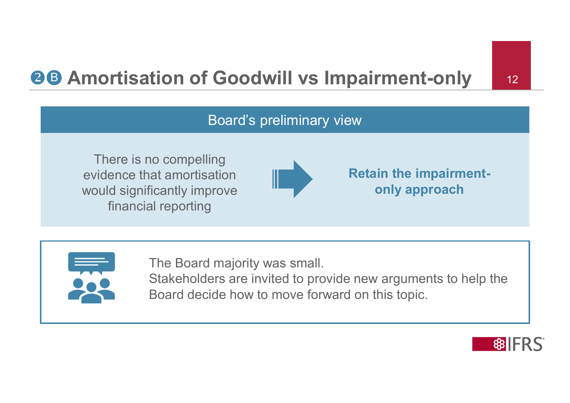# **88 Amortisation of Goodwill vs Impairment-only** 12

#### Board's preliminary view

There is no compelling evidence that amortisation would significantly improve financial reporting



Retain the impairmentonly approach



The Board majority was small. Stakeholders are invited to provide new arguments to help the Board decide how to move forward on this topic.

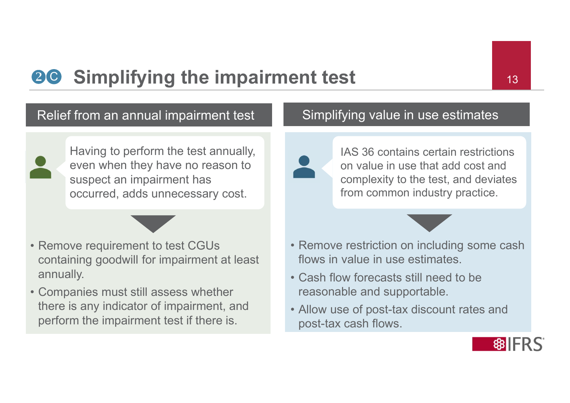# **20 Simplifying the impairment test** 13

#### Relief from an annual impairment test



**Examplifying the impairm<br>
Relief from an annual impairment test<br>
Having to perform the test annually,<br>
even when they have no reason to<br>
suspect an impairment has<br>
occurred, adds unnecessary cost.<br>
• Remove requirement to** • Having to perform the test annually,<br>
• Even when they have no reason to<br>
suspect an impairment has<br>
occurred, adds unnecessary cost.<br>
• Remove requirement to test CGUs<br>
containing goodwill for impairment at least<br>
annua Having to perform the test annually, even when they have no reason to suspect an impairment has occurred, adds unnecessary cost.

- containing goodwill for impairment at least annually.
- there is any indicator of impairment, and perform the impairment test if there is.

#### Simplifying value in use estimates



IAS 36 contains certain restrictions on value in use that add cost and complexity to the test, and deviates from common industry practice. **Ent test**<br>
• Simplifying value in use estimates<br>
• LAS 36 contains certain restrictions<br>
on value in use that add cost and<br>
complexity to the test, and deviates<br>
from common industry practice.<br>
• Remove restriction on inc • Cash flow cash flow in the optical posterior of posterior and complexity to the test, and deviates from common industry practice.<br>• Remove restriction on including some cash flows in value in use estimates.<br>• Cash flow f Allow value in use that add cost and<br>
complexity to the test, and deviates<br>
from common industry practice.<br>
• Remove restriction on including some cash<br>
flows in value in use estimates.<br>
• Cash flow forecasts still need to



- flows in value in use estimates.
- reasonable and supportable.
- post-tax cash flows.

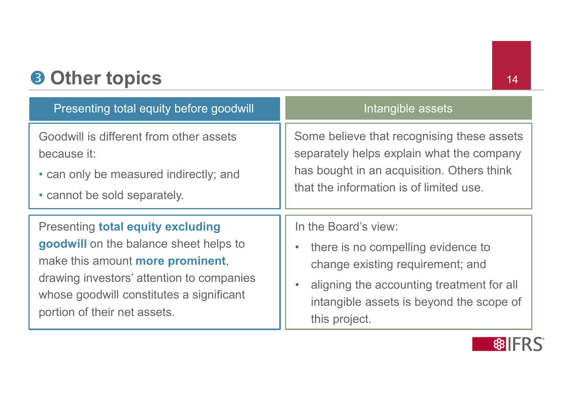# 8 Other topics 14

| <b>8 Other topics</b><br>14                                                                                                                                                                                                                     |                                                                                                                                                                                                                       |  |  |  |
|-------------------------------------------------------------------------------------------------------------------------------------------------------------------------------------------------------------------------------------------------|-----------------------------------------------------------------------------------------------------------------------------------------------------------------------------------------------------------------------|--|--|--|
| <b>Presenting total equity before goodwill</b>                                                                                                                                                                                                  | Intangible assets                                                                                                                                                                                                     |  |  |  |
| Goodwill is different from other assets<br>because it:<br>• can only be measured indirectly; and<br>• cannot be sold separately.                                                                                                                | Some believe that recognising these assets<br>separately helps explain what the company<br>has bought in an acquisition. Others think<br>that the information is of limited use.                                      |  |  |  |
| <b>Presenting total equity excluding</b><br>goodwill on the balance sheet helps to<br>make this amount more prominent,<br>drawing investors' attention to companies<br>whose goodwill constitutes a significant<br>portion of their net assets. | In the Board's view:<br>there is no compelling evidence to<br>$\bullet$<br>change existing requirement; and<br>aligning the accounting treatment for all<br>intangible assets is beyond the scope of<br>this project. |  |  |  |

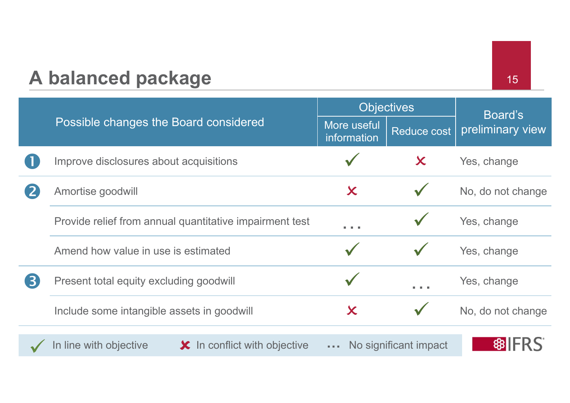### A balanced package 15

Possible changes the Board considered More useful Objectives Board's Reduce cost  $|$  preliminary view information Improve disclosures about acquisitions  $\overrightarrow{Y}$   $\overrightarrow{X}$  Yes, change **2** Amortise goodwill **X** No, do not change Provide relief from annual quantitative impairment test  $\overrightarrow{y}$   $\overrightarrow{y}$  Yes, change Possible changes the Board considered<br>
Note useful<br>
More useful<br>
Information<br>
Amend how value in use is estimated<br>
Present total equity excluding goodwill<br>
Present total equity excluding goodwill<br>
Note the set of the set **3** Present total equity excluding goodwill and vertical vertices of the Yes, change Include some intangible assets in goodwill  $X$   $V$  No, do not change In line with objective  $\bullet\hspace{1.5mm}\star\hspace{1.5mm}$  In conflict with objective  $\hspace{1.5mm}\ldots\hspace{1.5mm}$  No significant impact  $\hspace{1.5mm}\parallel\hspace{1.5mm}$   $\hspace{1.5mm}$   $\hspace{1.5mm}$   $\hspace{1.5mm}$   $\hspace{1.5mm}$   $\hspace{1.5mm}$   $\hspace{1.5mm}$   $\hspace{1.5$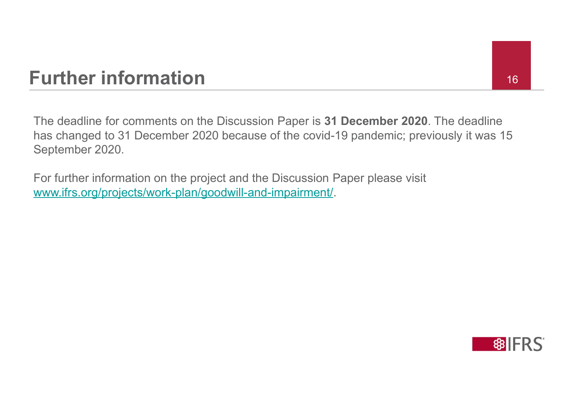# Further information 16

The deadline for comments on the Discussion Paper is 31 December 2020. The deadline has changed to 31 December 2020 because of the covid-19 pandemic; previously it was 15 September 2020.

For further information on the project and the Discussion Paper please visit www.ifrs.org/projects/work-plan/goodwill-and-impairment/.